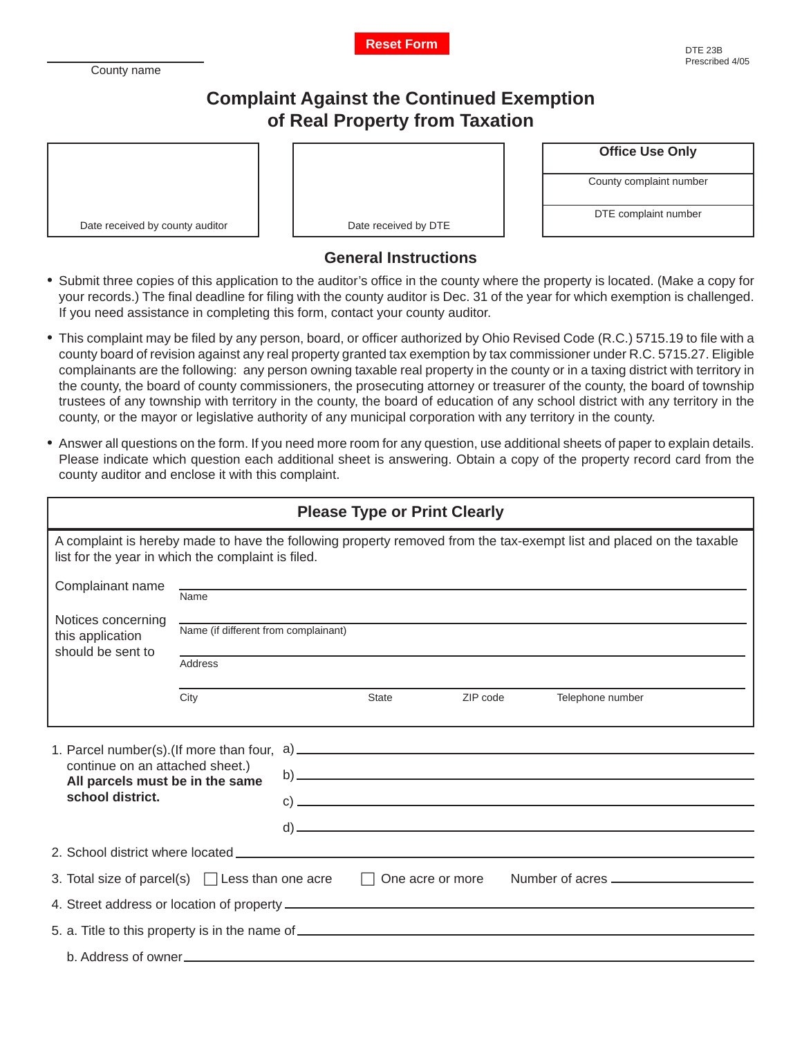County name



## **Complaint Against the Continued Exemption of Real Property from Taxation**

| Date received by county auditor |
|---------------------------------|

Date received by DTE

| <b>Office Use Only</b> |  |  |
|------------------------|--|--|
|------------------------|--|--|

County complaint number

DTE complaint number

## **General Instructions**

- Submit three copies of this application to the auditor's office in the county where the property is located. (Make a copy for your records.) The final deadline for filing with the county auditor is Dec. 31 of the year for which exemption is challenged. If you need assistance in completing this form, contact your county auditor.
- This complaint may be filed by any person, board, or officer authorized by Ohio Revised Code (R.C.) 5715.19 to file with a county board of revision against any real property granted tax exemption by tax commissioner under R.C. 5715.27. Eligible complainants are the following: any person owning taxable real property in the county or in a taxing district with territory in the county, the board of county commissioners, the prosecuting attorney or treasurer of the county, the board of township trustees of any township with territory in the county, the board of education of any school district with any territory in the county, or the mayor or legislative authority of any municipal corporation with any territory in the county.
- Answer all questions on the form. If you need more room for any question, use additional sheets of paper to explain details. Please indicate which question each additional sheet is answering. Obtain a copy of the property record card from the county auditor and enclose it with this complaint.

| <b>Please Type or Print Clearly</b>                                                                                                                                                                                            |                                      |  |              |          |                  |
|--------------------------------------------------------------------------------------------------------------------------------------------------------------------------------------------------------------------------------|--------------------------------------|--|--------------|----------|------------------|
| A complaint is hereby made to have the following property removed from the tax-exempt list and placed on the taxable<br>list for the year in which the complaint is filed.                                                     |                                      |  |              |          |                  |
| Complainant name                                                                                                                                                                                                               | Name                                 |  |              |          |                  |
| Notices concerning<br>this application<br>should be sent to                                                                                                                                                                    | Name (if different from complainant) |  |              |          |                  |
|                                                                                                                                                                                                                                | Address                              |  |              |          |                  |
|                                                                                                                                                                                                                                | City                                 |  | <b>State</b> | ZIP code | Telephone number |
| 1. Parcel number(s). (If more than four,<br>continue on an attached sheet.)<br>All parcels must be in the same<br>school district.                                                                                             |                                      |  |              |          |                  |
| 2. School district where located Learning and the control of the control of the control of the control of the control of the control of the control of the control of the control of the control of the control of the control |                                      |  |              |          |                  |
| 3. Total size of parcel(s) $\Box$ Less than one acre $\Box$<br>One acre or more                                                                                                                                                |                                      |  |              |          |                  |
|                                                                                                                                                                                                                                |                                      |  |              |          |                  |
|                                                                                                                                                                                                                                |                                      |  |              |          |                  |
| b. Address of owner                                                                                                                                                                                                            |                                      |  |              |          |                  |